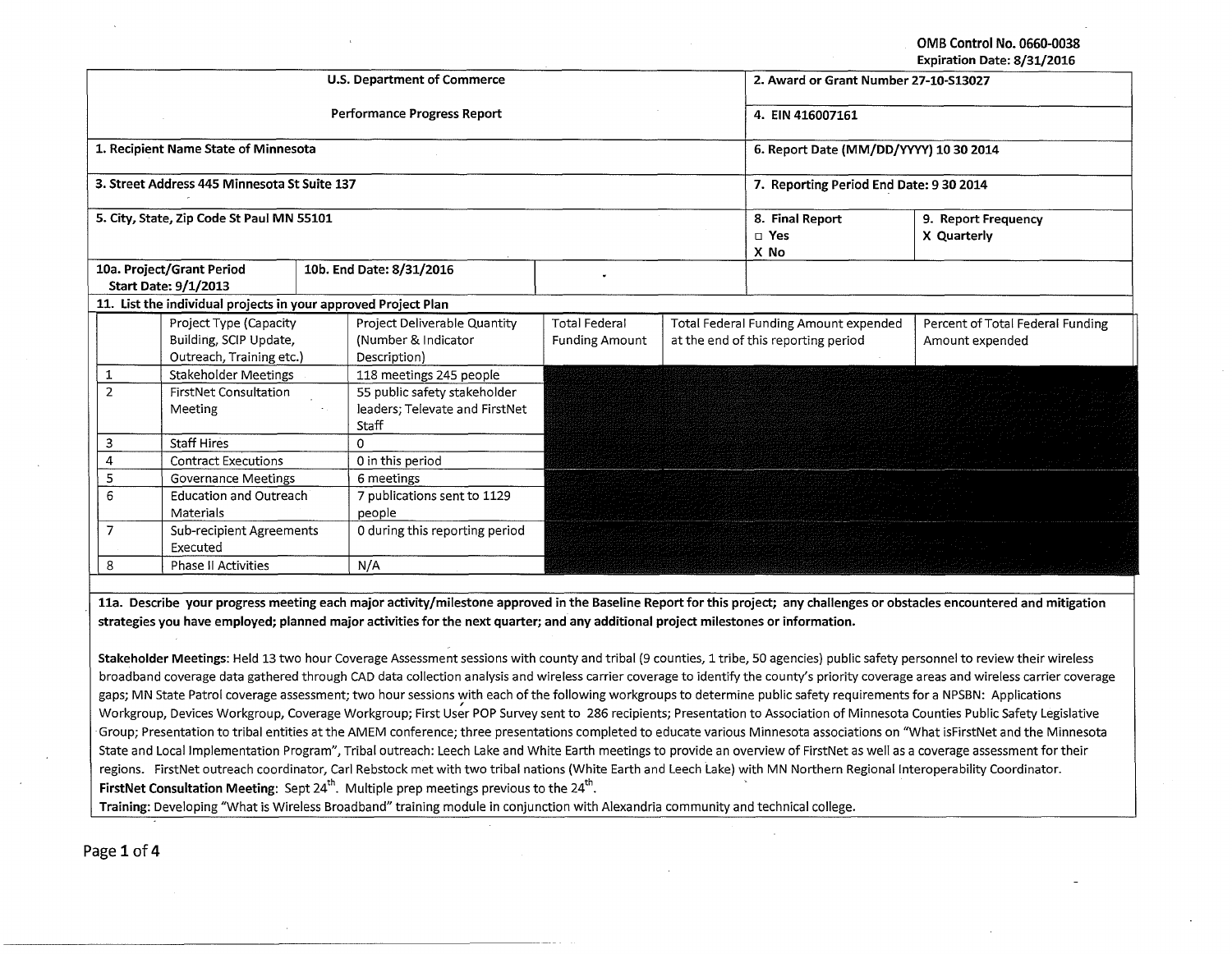OMB Control No. 0660-0038 Expiration Date: 8/31/2016

|                                                                |                                                                              |                                                                         |                                                                     |                                                                                      |                                          |                                         | Expiration Date: 8/31/2016                          |  |  |
|----------------------------------------------------------------|------------------------------------------------------------------------------|-------------------------------------------------------------------------|---------------------------------------------------------------------|--------------------------------------------------------------------------------------|------------------------------------------|-----------------------------------------|-----------------------------------------------------|--|--|
|                                                                |                                                                              |                                                                         | <b>U.S. Department of Commerce</b>                                  | 2. Award or Grant Number 27-10-S13027                                                |                                          |                                         |                                                     |  |  |
|                                                                |                                                                              |                                                                         | Performance Progress Report                                         |                                                                                      | 4. EIN 416007161                         |                                         |                                                     |  |  |
| 1. Recipient Name State of Minnesota                           |                                                                              |                                                                         |                                                                     |                                                                                      | 6. Report Date (MM/DD/YYYY) 10 30 2014   |                                         |                                                     |  |  |
| 3. Street Address 445 Minnesota St Suite 137                   |                                                                              |                                                                         |                                                                     |                                                                                      |                                          | 7. Reporting Period End Date: 9 30 2014 |                                                     |  |  |
| 5. City, State, Zip Code St Paul MN 55101                      |                                                                              |                                                                         |                                                                     |                                                                                      | 8. Final Report<br>$\square$ Yes<br>X No | 9. Report Frequency<br>X Quarterly      |                                                     |  |  |
| 10a. Project/Grant Period                                      |                                                                              |                                                                         | 10b. End Date: 8/31/2016                                            |                                                                                      |                                          |                                         |                                                     |  |  |
| <b>Start Date: 9/1/2013</b>                                    |                                                                              |                                                                         |                                                                     |                                                                                      |                                          |                                         |                                                     |  |  |
| 11. List the individual projects in your approved Project Plan |                                                                              |                                                                         |                                                                     |                                                                                      |                                          |                                         |                                                     |  |  |
|                                                                | Project Type (Capacity<br>Building, SCIP Update,<br>Outreach, Training etc.) |                                                                         | Project Deliverable Quantity<br>(Number & Indicator<br>Description) | <b>Total Federal</b><br>at the end of this reporting period<br><b>Funding Amount</b> |                                          | Total Federal Funding Amount expended   | Percent of Total Federal Funding<br>Amount expended |  |  |
| 1                                                              | <b>Stakeholder Meetings</b>                                                  |                                                                         | 118 meetings 245 people                                             |                                                                                      |                                          |                                         |                                                     |  |  |
| $\overline{2}$<br>FirstNet Consultation<br>Meeting             |                                                                              | 55 public safety stakeholder<br>leaders; Televate and FirstNet<br>Staff |                                                                     |                                                                                      |                                          |                                         |                                                     |  |  |
| <b>Staff Hires</b><br>3                                        |                                                                              | 0                                                                       |                                                                     |                                                                                      |                                          |                                         |                                                     |  |  |
| 4<br><b>Contract Executions</b>                                |                                                                              | 0 in this period                                                        |                                                                     |                                                                                      |                                          |                                         |                                                     |  |  |
| <b>Governance Meetings</b><br>5                                |                                                                              | 6 meetings                                                              |                                                                     |                                                                                      |                                          |                                         |                                                     |  |  |
| 6<br><b>Education and Outreach</b><br>Materials                |                                                                              | 7 publications sent to 1129<br>people                                   |                                                                     |                                                                                      |                                          |                                         |                                                     |  |  |
| 7<br>Sub-recipient Agreements<br>Executed                      |                                                                              | 0 during this reporting period                                          |                                                                     |                                                                                      |                                          |                                         |                                                     |  |  |
| N/A<br>8<br><b>Phase II Activities</b>                         |                                                                              |                                                                         |                                                                     |                                                                                      |                                          |                                         |                                                     |  |  |

11a. Describe your progress meeting each major activity/milestone approved in the Baseline Report for this project; any challenges or obstacles encountered and mitigation strategies you have employed; planned major activities for the next quarter; and any additional project milestones or information.

Stakeholder Meetings: Held 13 two hour Coverage Assessment sessions with county and tribal (9 counties, 1 tribe, 50 agencies) public safety personnel to review their wireless broadband coverage data gathered through CAD data collection analysis and wireless carrier coverage to identify the county's priority coverage areas and wireless carrier coverage gaps; MN State Patrol coverage assessment; two hour sessions with each of the following workgroups to determine public safety requirements for a NPSBN: Applications Workgroup, Devices Workgroup, Coverage Workgroup; First User POP Survey sent to 286 recipients; Presentation to Association of Minnesota Counties Public Safety Legislative -Group; Presentation to tribal entities at the AMEM conference; three presentations completed to educate various Minnesota associations on "What isFirstNet and the Minnesota State and Local implementation Program", Tribal outreach: Leech Lake and White Earth meetings to provide an overview of FirstNet as well as a coverage assessment for their regions. FirstNet outreach coordinator, Carl Rebstock met with two tribal nations (White Earth and Leech Lake) with MN Northern Regional Interoperability Coordinator. FirstNet Consultation Meeting: Sept  $24<sup>th</sup>$ . Multiple prep meetings previous to the  $24<sup>th</sup>$ .

Training: Developing "What is Wireless Broadband" training module in conjunction with Alexandria community and technical college.

Page 1 of 4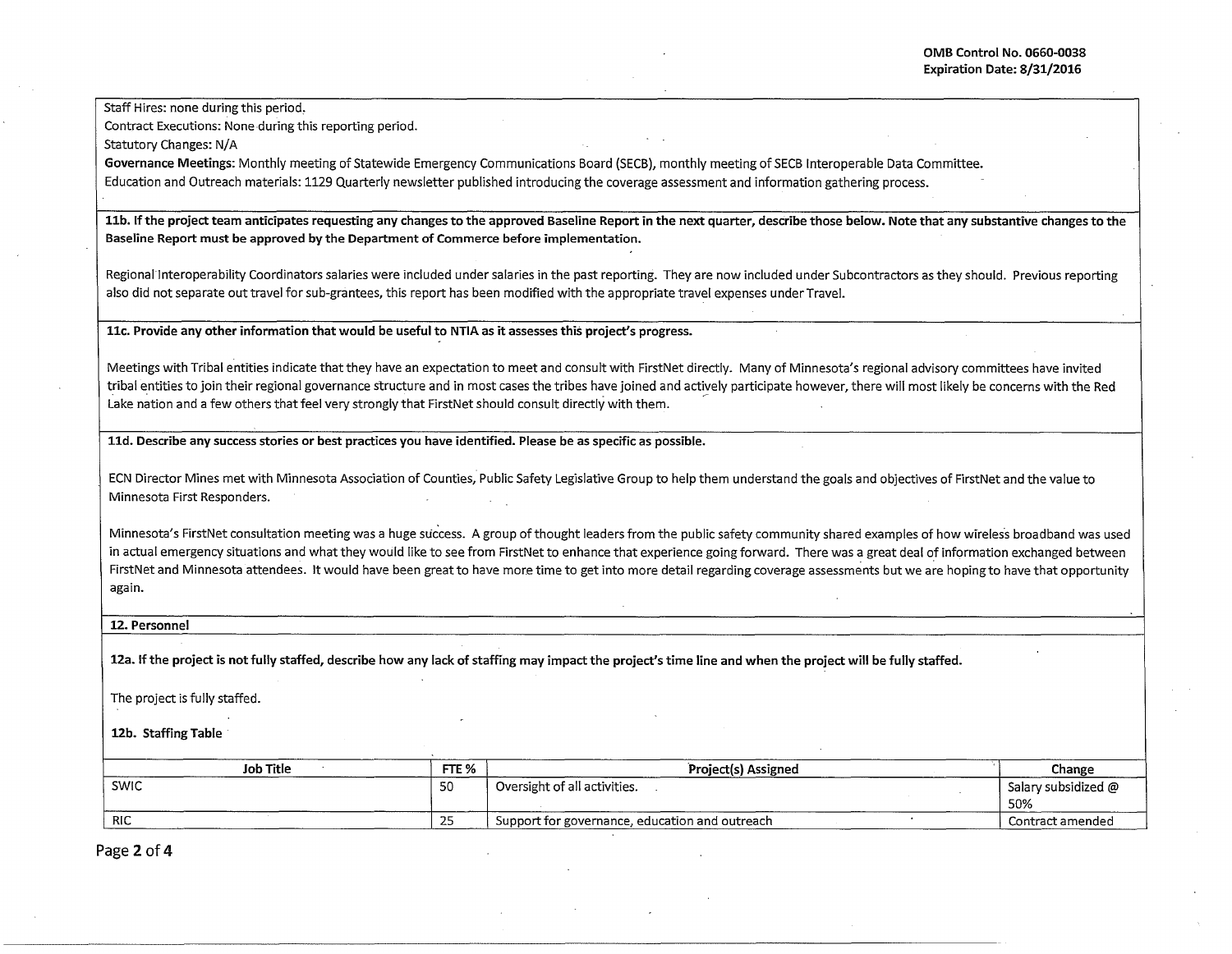Staff Hires: none during this period, Contract Executions: None during this reporting period.

Statutory Changes: N/A

Governance Meetings: Monthly meeting of Statewide Emergency Communications Board (SECB), monthly meeting of SECB Interoperable Data Committee. Education and Outreach materials: 1129 Quarterly newsletter published introducing the coverage assessment and information gathering process.

11b. If the project team anticipates requesting any changes to the approved Baseline Report in the next quarter, describe those below. Note that any substantive changes to the Baseline Report must be approved by the Department of Commerce before implementation.

Regional Interoperability Coordinators salaries were included under salaries in the past reporting. They are now included under Subcontractors as they should. Previous reporting also did not separate out travel for sub-grantees, this report has been modified with the appropriate travel expenses under Travel.

11c. Provide any other information that would be useful to NTIA as it assesses this project's progress.

Meetings with Tribal entities indicate that they have an expectation to meet and consult with FirstNet directly. Many of Minnesota's regional advisory committees have invited tribal entities to join their regional governance structure and in most cases the tribes have joined and actively participate however, there will most likely be concerns with the Red Lake nation and a few others that feel very strongly that FirstNet should consult directly with them.

11d. Describe any success stories or best practices you have identified. Please be as specific as possible.

ECN Director Mines met with Minnesota Association of Counties, Public Safety Legislative Group to help them understand the goals and objectives of FirstNet and the value to Minnesota First Responders.

Minnesota's FirstNet consultation meeting was a huge success. A group of thought leaders from the public safety community shared examples of how wrreles·s broadband was used in actual emergency situations and what they would like to see from FirstNet to enhance that experience going forward. There was a great deal of information exchanged between FirstNet and Minnesota attendees. It would have been great to have more time to get into more detail regarding coverage assessments but we are hoping to have that opportunity again.

12. Personnel

12a. If the project is not fully staffed, describe how any lack of staffing may impact the project's time line and when the project will be fully staffed.

The project is fully staffed.

12b. Staffing Table

| <b>Job Title</b> | FTE %      | Project(s) Assigned                            | Change                     |
|------------------|------------|------------------------------------------------|----------------------------|
| SWIC             | -50        | Oversight of all activities.                   | Salary subsidized @<br>50% |
| <b>RIC</b>       | ---<br>-45 | Support for governance, education and outreach | Contract amended           |

Page 2 of 4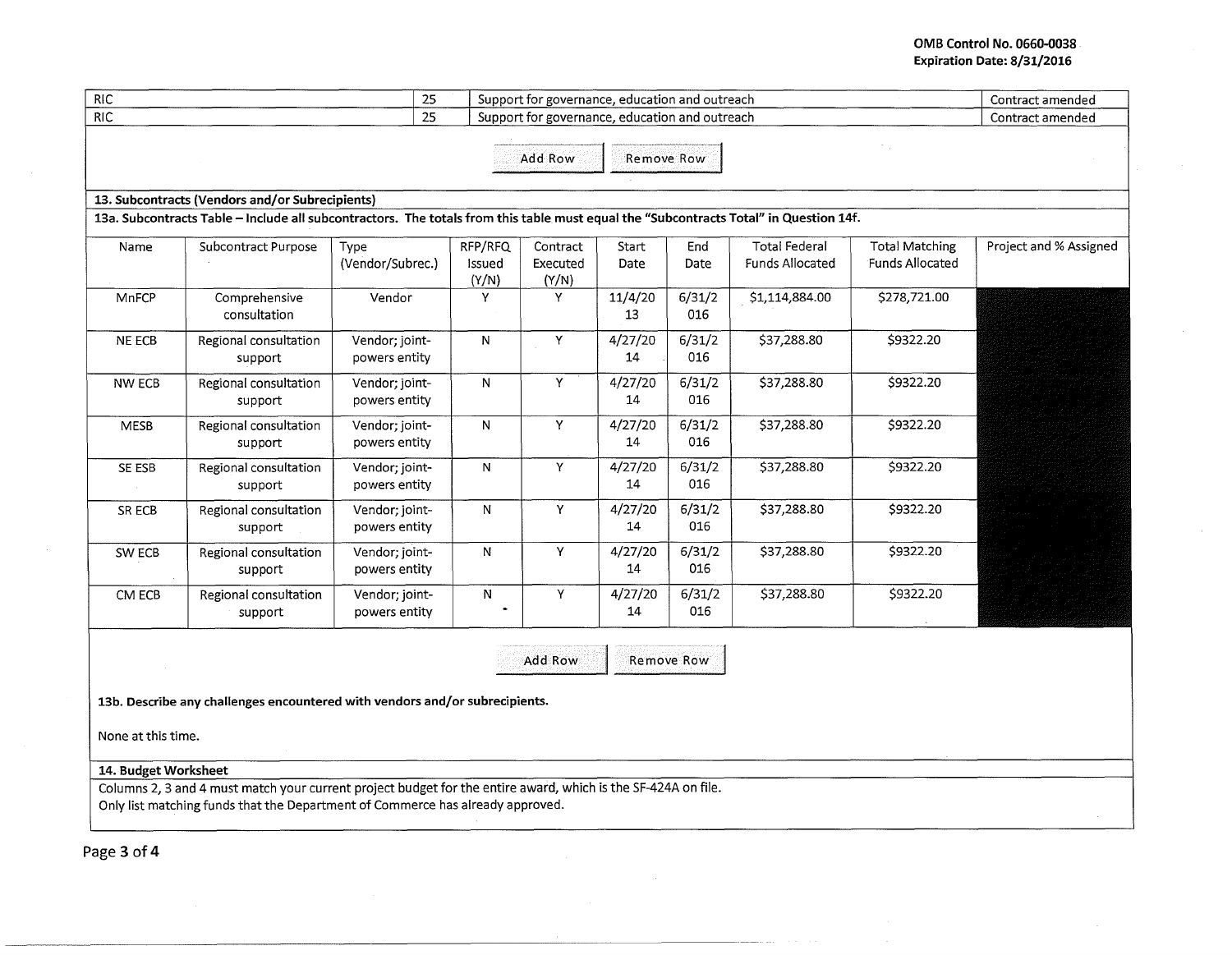## **OMB Control No. 0660-0038 Expiration Date: 8/31/2016**

| RIC<br>25                                                                   |                                                                                                                                                                                          |                                 |                            | Support for governance, education and outreach | Contract amended |                   |                                                |                                                 |                        |
|-----------------------------------------------------------------------------|------------------------------------------------------------------------------------------------------------------------------------------------------------------------------------------|---------------------------------|----------------------------|------------------------------------------------|------------------|-------------------|------------------------------------------------|-------------------------------------------------|------------------------|
| $\overline{25}$<br><b>RIC</b>                                               |                                                                                                                                                                                          |                                 |                            | Support for governance, education and outreach |                  |                   |                                                |                                                 |                        |
|                                                                             |                                                                                                                                                                                          |                                 |                            | Add Row                                        | Remove Row       |                   |                                                |                                                 |                        |
|                                                                             | 13. Subcontracts (Vendors and/or Subrecipients)<br>13a. Subcontracts Table - Include all subcontractors. The totals from this table must equal the "Subcontracts Total" in Question 14f. |                                 |                            |                                                |                  |                   |                                                |                                                 |                        |
| Name                                                                        | Subcontract Purpose                                                                                                                                                                      | <b>Type</b><br>(Vendor/Subrec.) | RFP/RFQ<br>Issued<br>(Y/N) | Contract<br>Executed<br>(Y/N)                  | Start<br>Date    | End<br>Date       | <b>Total Federal</b><br><b>Funds Allocated</b> | <b>Total Matching</b><br><b>Funds Allocated</b> | Project and % Assigned |
| MnFCP                                                                       | Comprehensive<br>consultation                                                                                                                                                            | Vendor                          | Υ                          | Y                                              | 11/4/20<br>13    | 6/31/2<br>016     | \$1,114,884.00                                 | \$278,721.00                                    |                        |
| NE ECB                                                                      | Regional consultation<br>support                                                                                                                                                         | Vendor; joint-<br>powers entity | ${\sf N}$                  | Υ                                              | 4/27/20<br>14    | 6/31/2<br>016     | \$37,288.80                                    | \$9322.20                                       |                        |
| NW ECB                                                                      | Regional consultation<br>support                                                                                                                                                         | Vendor; joint-<br>powers entity | ${\sf N}$                  | Υ                                              | 4/27/20<br>14    | 6/31/2<br>016     | \$37,288.80                                    | \$9322.20                                       |                        |
| MESB                                                                        | Regional consultation<br>support                                                                                                                                                         | Vendor; joint-<br>powers entity | ${\sf N}$                  | Y                                              | 4/27/20<br>14    | 6/31/2<br>016     | \$37,288.80                                    | \$9322.20                                       |                        |
| SE ESB                                                                      | Regional consultation<br>support                                                                                                                                                         | Vendor; joint-<br>powers entity | ${\sf N}$                  | Y.                                             | 4/27/20<br>14    | 6/31/2<br>016     | \$37,288.80                                    | \$9322.20                                       |                        |
| SR ECB                                                                      | Regional consultation<br>support                                                                                                                                                         | Vendor; joint-<br>powers entity | ${\sf N}$                  | Y                                              | 4/27/20<br>14    | 6/31/2<br>016     | \$37,288.80                                    | \$9322.20                                       |                        |
| SW ECB                                                                      | Regional consultation<br>support                                                                                                                                                         | Vendor; joint-<br>powers entity | ${\sf N}$                  | Y                                              | 4/27/20<br>14    | 6/31/2<br>016     | \$37,288.80                                    | \$9322.20                                       |                        |
| CM ECB                                                                      | Regional consultation<br>support                                                                                                                                                         | Vendor; joint-<br>powers entity | N                          | Y                                              | 4/27/20<br>14    | 6/31/2<br>016     | \$37,288.80                                    | \$9322.20                                       |                        |
|                                                                             |                                                                                                                                                                                          |                                 |                            | Add Row                                        |                  | <b>Remove Row</b> |                                                |                                                 |                        |
| 13b. Describe any challenges encountered with vendors and/or subrecipients. |                                                                                                                                                                                          |                                 |                            |                                                |                  |                   |                                                |                                                 |                        |
| None at this time.                                                          |                                                                                                                                                                                          |                                 |                            |                                                |                  |                   |                                                |                                                 |                        |
| 14. Budget Worksheet                                                        |                                                                                                                                                                                          |                                 |                            |                                                |                  |                   |                                                |                                                 |                        |
|                                                                             | Columns 2, 3 and 4 must match your current project budget for the entire award, which is the SF-424A on file.                                                                            |                                 |                            |                                                |                  |                   |                                                |                                                 |                        |
|                                                                             | Only list matching funds that the Department of Commerce has already approved.                                                                                                           |                                 |                            |                                                |                  |                   |                                                |                                                 |                        |

**Page 3 of4** 

 $\mathcal{L}_{\mathcal{A}}$